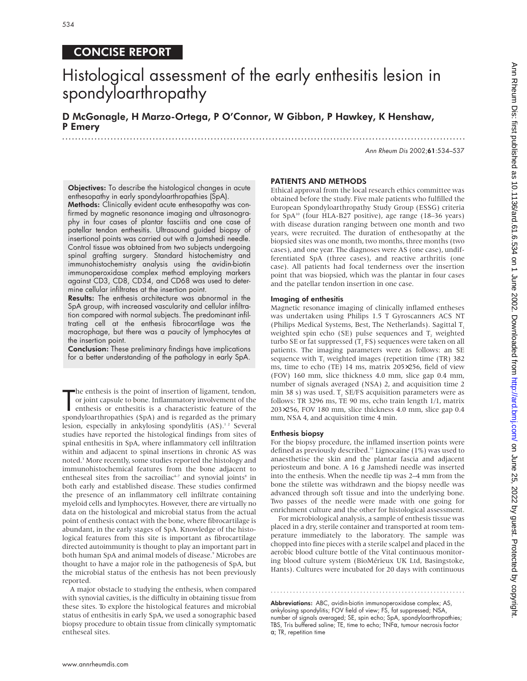# CONCISE REPORT

# Histological assessment of the early enthesitis lesion in spondyloarthropathy

D McGonagle, H Marzo-Ortega, P O'Connor, W Gibbon, P Hawkey, K Henshaw, P Emery .............................................................................................................................

Ann Rheum Dis 2002;61:534–537

Objectives: To describe the histological changes in acute enthesopathy in early spondyloarthropathies (SpA).

Methods: Clinically evident acute enthesopathy was confirmed by magnetic resonance imaging and ultrasonography in four cases of plantar fasciitis and one case of patellar tendon enthesitis. Ultrasound guided biopsy of insertional points was carried out with a Jamshedi needle. Control tissue was obtained from two subjects undergoing spinal grafting surgery. Standard histochemistry and immunohistochemistry analysis using the avidin-biotin immunoperoxidase complex method employing markers against CD3, CD8, CD34, and CD68 was used to determine cellular infiltrates at the insertion point.

Results: The enthesis architecture was abnormal in the SpA group, with increased vascularity and cellular infiltration compared with normal subjects. The predominant infiltrating cell at the enthesis fibrocartilage was the macrophage, but there was a paucity of lymphocytes at the insertion point.

Conclusion: These preliminary findings have implications for a better understanding of the pathology in early SpA.

The enthesis is the point of insertion of ligament, tendon, or joint capsule to bone. Inflammatory involvement of the enthesis or enthesitis is a characteristic feature of the spondyloarthropathies (SpA) and is regarded as he enthesis is the point of insertion of ligament, tendon, or joint capsule to bone. Inflammatory involvement of the enthesis or enthesitis is a characteristic feature of the lesion, especially in ankylosing spondylitis (AS).<sup>12</sup> Several studies have reported the histological findings from sites of spinal enthesitis in SpA, where inflammatory cell infiltration within and adjacent to spinal insertions in chronic AS was noted.3 More recently, some studies reported the histology and immunohistochemical features from the bone adjacent to entheseal sites from the sacroiliac<sup> $+7$ </sup> and synovial joints<sup>8</sup> in both early and established disease. These studies confirmed the presence of an inflammatory cell infiltrate containing myeloid cells and lymphocytes. However, there are virtually no data on the histological and microbial status from the actual point of enthesis contact with the bone, where fibrocartilage is abundant, in the early stages of SpA. Knowledge of the histological features from this site is important as fibrocartilage directed autoimmunity is thought to play an important part in both human SpA and animal models of disease.<sup>9</sup> Microbes are thought to have a major role in the pathogenesis of SpA, but the microbial status of the enthesis has not been previously reported.

A major obstacle to studying the enthesis, when compared with synovial cavities, is the difficulty in obtaining tissue from these sites. To explore the histological features and microbial status of enthesitis in early SpA, we used a sonographic based biopsy procedure to obtain tissue from clinically symptomatic entheseal sites.

#### PATIENTS AND METHODS

Ethical approval from the local research ethics committee was obtained before the study. Five male patients who fulfilled the European Spondyloarthropathy Study Group (ESSG) criteria for  $SpA^{10}$  (four HLA-B27 positive), age range (18–36 years) with disease duration ranging between one month and two years, were recruited. The duration of enthesopathy at the biopsied sites was one month, two months, three months (two cases), and one year. The diagnoses were AS (one case), undifferentiated SpA (three cases), and reactive arthritis (one case). All patients had focal tenderness over the insertion point that was biopsied, which was the plantar in four cases and the patellar tendon insertion in one case.

#### Imaging of enthesitis

Magnetic resonance imaging of clinically inflamed entheses was undertaken using Philips 1.5 T Gyroscanners ACS NT (Philips Medical Systems, Best, The Netherlands). Sagittal T. weighted spin echo (SE) pulse sequences and T, weighted turbo SE or fat suppressed  $(T, FS)$  sequences were taken on all patients. The imaging parameters were as follows: an SE sequence with  $T<sub>1</sub>$  weighted images (repetition time (TR) 382 ms, time to echo (TE) 14 ms, matrix 205×256, field of view (FOV) 160 mm, slice thickness 4.0 mm, slice gap 0.4 mm, number of signals averaged (NSA) 2, and acquisition time 2 min 38 s) was used. T, SE/FS acquisition parameters were as follows: TR 3296 ms, TE 90 ms, echo train length 1/1, matrix 203×256, FOV 180 mm, slice thickness 4.0 mm, slice gap 0.4 mm, NSA 4, and acquisition time 4 min.

#### Enthesis biopsy

For the biopsy procedure, the inflamed insertion points were defined as previously described.<sup>11</sup> Lignocaine (1%) was used to anaesthetise the skin and the plantar fascia and adjacent periosteum and bone. A 16 g Jamshedi needle was inserted into the enthesis. When the needle tip was 2–4 mm from the bone the stilette was withdrawn and the biopsy needle was advanced through soft tissue and into the underlying bone. Two passes of the needle were made with one going for enrichment culture and the other for histological assessment.

For microbiological analysis, a sample of enthesis tissue was placed in a dry, sterile container and transported at room temperature immediately to the laboratory. The sample was chopped into fine pieces with a sterile scalpel and placed in the aerobic blood culture bottle of the Vital continuous monitoring blood culture system (BioMérieux UK Ltd, Basingstoke, Hants). Cultures were incubated for 20 days with continuous

Abbreviations: ABC, avidin-biotin immunoperoxidase complex; AS, ankylosing spondylitis; FOV field of view; FS, fat suppressed; NSA, number of signals averaged; SE, spin echo; SpA, spondyloarthropathies; TBS, Tris buffered saline; TE, time to echo; TNFα, tumour necrosis factor α; TR, repetition time

.............................................................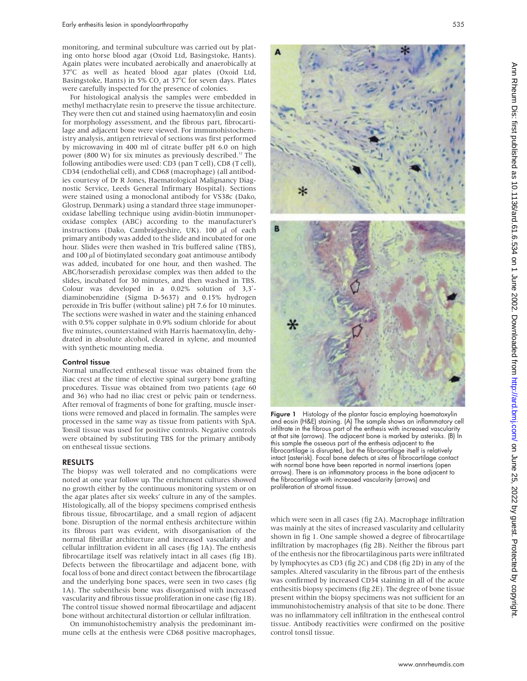monitoring, and terminal subculture was carried out by plating onto horse blood agar (Oxoid Ltd, Basingstoke, Hants). Again plates were incubated aerobically and anaerobically at 37°C as well as heated blood agar plates (Oxoid Ltd, Basingstoke, Hants) in 5%  $CO<sub>2</sub>$  at 37°C for seven days. Plates were carefully inspected for the presence of colonies.

For histological analysis the samples were embedded in methyl methacrylate resin to preserve the tissue architecture. They were then cut and stained using haematoxylin and eosin for morphology assessment, and the fibrous part, fibrocartilage and adjacent bone were viewed. For immunohistochemistry analysis, antigen retrieval of sections was first performed by microwaving in 400 ml of citrate buffer pH 6.0 on high power (800 W) for six minutes as previously described.<sup>12</sup> The following antibodies were used: CD3 (pan T cell), CD8 (T cell), CD34 (endothelial cell), and CD68 (macrophage) (all antibodies courtesy of Dr R Jones, Haematological Malignancy Diagnostic Service, Leeds General Infirmary Hospital). Sections were stained using a monoclonal antibody for VS38c (Dako, Glostrup, Denmark) using a standard three stage immunoperoxidase labelling technique using avidin-biotin immunoperoxidase complex (ABC) according to the manufacturer's instructions (Dako, Cambridgeshire, UK). 100  $\mu$ l of each primary antibody was added to the slide and incubated for one hour. Slides were then washed in Tris buffered saline (TBS), and  $100 \mu$ l of biotinylated secondary goat antimouse antibody was added, incubated for one hour, and then washed. The ABC/horseradish peroxidase complex was then added to the slides, incubated for 30 minutes, and then washed in TBS. Colour was developed in a 0.02% solution of 3,3′ diaminobenzidine (Sigma D-5637) and 0.15% hydrogen peroxide in Tris buffer (without saline) pH 7.6 for 10 minutes. The sections were washed in water and the staining enhanced with 0.5% copper sulphate in 0.9% sodium chloride for about five minutes, counterstained with Harris haematoxylin, dehydrated in absolute alcohol, cleared in xylene, and mounted with synthetic mounting media.

#### Control tissue

Normal unaffected entheseal tissue was obtained from the iliac crest at the time of elective spinal surgery bone grafting procedures. Tissue was obtained from two patients (age 60 and 36) who had no iliac crest or pelvic pain or tenderness. After removal of fragments of bone for grafting, muscle insertions were removed and placed in formalin. The samples were processed in the same way as tissue from patients with SpA. Tonsil tissue was used for positive controls. Negative controls were obtained by substituting TBS for the primary antibody on entheseal tissue sections.

### RESULTS

The biopsy was well tolerated and no complications were noted at one year follow up. The enrichment cultures showed no growth either by the continuous monitoring system or on the agar plates after six weeks' culture in any of the samples. Histologically, all of the biopsy specimens comprised enthesis fibrous tissue, fibrocartilage, and a small region of adjacent bone. Disruption of the normal enthesis architecture within its fibrous part was evident, with disorganisation of the normal fibrillar architecture and increased vascularity and cellular infiltration evident in all cases (fig 1A). The enthesis fibrocartilage itself was relatively intact in all cases (fig 1B). Defects between the fibrocartilage and adjacent bone, with focal loss of bone and direct contact between the fibrocartilage and the underlying bone spaces, were seen in two cases (fig 1A). The subenthesis bone was disorganised with increased vascularity and fibrous tissue proliferation in one case (fig 1B). The control tissue showed normal fibrocartilage and adjacent bone without architectural distortion or cellular infiltration.

On immunohistochemistry analysis the predominant immune cells at the enthesis were CD68 positive macrophages,



Figure 1 Histology of the plantar fascia employing haematoxylin and eosin (H&E) staining. (A) The sample shows an inflammatory cell infiltrate in the fibrous part of the enthesis with increased vascularity at that site (arrows). The adjacent bone is marked by asterisks. (B) In this sample the osseous part of the enthesis adjacent to the fibrocartilage is disrupted, but the fibrocartilage itself is relatively intact (asterisk). Focal bone defects at sites of fibrocartilage contact with normal bone have been reported in normal insertions (open arrows). There is an inflammatory process in the bone adjacent to the fibrocartilage with increased vascularity (arrows) and proliferation of stromal tissue.

which were seen in all cases (fig 2A). Macrophage infiltration was mainly at the sites of increased vascularity and cellularity shown in fig 1. One sample showed a degree of fibrocartilage infiltration by macrophages (fig 2B). Neither the fibrous part of the enthesis nor the fibrocartilaginous parts were infiltrated by lymphocytes as CD3 (fig 2C) and CD8 (fig 2D) in any of the samples. Altered vascularity in the fibrous part of the enthesis was confirmed by increased CD34 staining in all of the acute enthesitis biopsy specimens (fig 2E). The degree of bone tissue present within the biopsy specimens was not sufficient for an immunohistochemistry analysis of that site to be done. There was no inflammatory cell infiltration in the entheseal control tissue. Antibody reactivities were confirmed on the positive control tonsil tissue.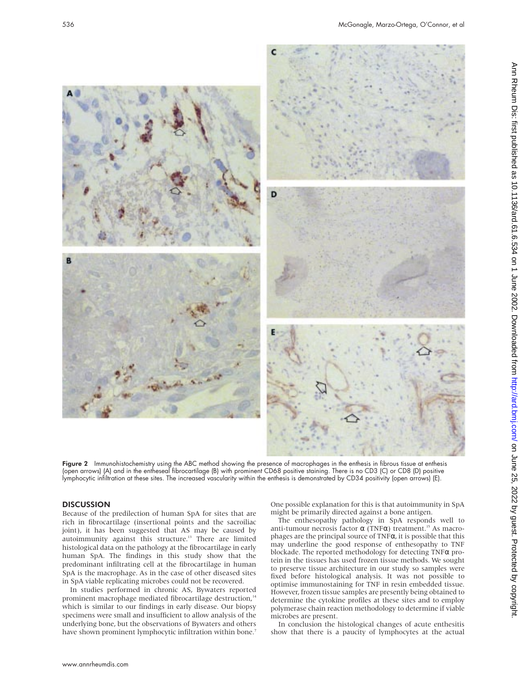

**Figure 2** Immunohistochemistry using the ABC method showing the presence of macrophages in the enthesis in fibrous tissue at enthesis (open arrows) (A) and in the entheseal fibrocartilage (B) with prominent CD68 positive staining. There is no CD3 (C) or CD8 (D) positive lymphocytic infiltration at these sites. The increased vascularity within the enthesis is demonstrated by CD34 positivity (open arrows) (E).

### **DISCUSSION**

Because of the predilection of human SpA for sites that are rich in fibrocartilage (insertional points and the sacroiliac joint), it has been suggested that AS may be caused by autoimmunity against this structure.13 There are limited histological data on the pathology at the fibrocartilage in early human SpA. The findings in this study show that the predominant infiltrating cell at the fibrocartilage in human SpA is the macrophage. As in the case of other diseased sites in SpA viable replicating microbes could not be recovered.

In studies performed in chronic AS, Bywaters reported prominent macrophage mediated fibrocartilage destruction,<sup>14</sup> which is similar to our findings in early disease. Our biopsy specimens were small and insufficient to allow analysis of the underlying bone, but the observations of Bywaters and others have shown prominent lymphocytic infiltration within bone.<sup>7</sup>

One possible explanation for this is that autoimmunity in SpA might be primarily directed against a bone antigen.

The enthesopathy pathology in SpA responds well to anti-tumour necrosis factor  $\alpha$  (TNF $\alpha$ ) treatment.<sup>15</sup> As macrophages are the principal source of TNFα, it is possible that this may underline the good response of enthesopathy to TNF blockade. The reported methodology for detecting TNFα protein in the tissues has used frozen tissue methods. We sought to preserve tissue architecture in our study so samples were fixed before histological analysis. It was not possible to optimise immunostaining for TNF in resin embedded tissue. However, frozen tissue samples are presently being obtained to determine the cytokine profiles at these sites and to employ polymerase chain reaction methodology to determine if viable microbes are present.

In conclusion the histological changes of acute enthesitis show that there is a paucity of lymphocytes at the actual